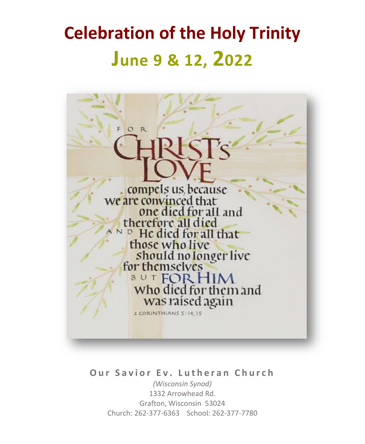# **Celebration of the Holy Trinity June 9 & 12, 2022**



**Our Savior Ev. Lutheran Church**

*(Wisconsin Synod)* 1332 Arrowhead Rd. Grafton, Wisconsin 53024 Church: 262-377-6363 School: 262-377-7780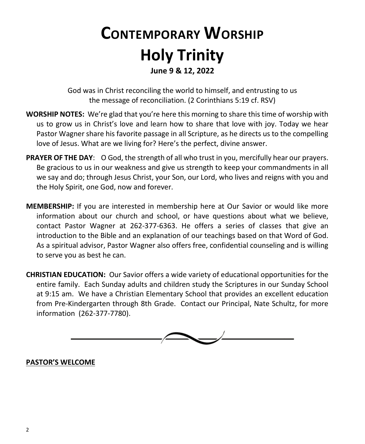# **CONTEMPORARY WORSHIP Holy Trinity June 9 & 12, 2022**

God was in Christ reconciling the world to himself, and entrusting to us the message of reconciliation. (2 Corinthians 5:19 cf. RSV)

- **WORSHIP NOTES:** We're glad that you're here this morning to share this time of worship with us to grow us in Christ's love and learn how to share that love with joy. Today we hear Pastor Wagner share his favorite passage in all Scripture, as he directs us to the compelling love of Jesus. What are we living for? Here's the perfect, divine answer.
- **PRAYER OF THE DAY**: O God, the strength of all who trust in you, mercifully hear our prayers. Be gracious to us in our weakness and give us strength to keep your commandments in all we say and do; through Jesus Christ, your Son, our Lord, who lives and reigns with you and the Holy Spirit, one God, now and forever.
- **MEMBERSHIP:** If you are interested in membership here at Our Savior or would like more information about our church and school, or have questions about what we believe, contact Pastor Wagner at 262-377-6363. He offers a series of classes that give an introduction to the Bible and an explanation of our teachings based on that Word of God. As a spiritual advisor, Pastor Wagner also offers free, confidential counseling and is willing to serve you as best he can.
- **CHRISTIAN EDUCATION:** Our Savior offers a wide variety of educational opportunities for the entire family. Each Sunday adults and children study the Scriptures in our Sunday School at 9:15 am. We have a Christian Elementary School that provides an excellent education from Pre-Kindergarten through 8th Grade. Contact our Principal, Nate Schultz, for more information (262-377-7780).



#### **PASTOR'S WELCOME**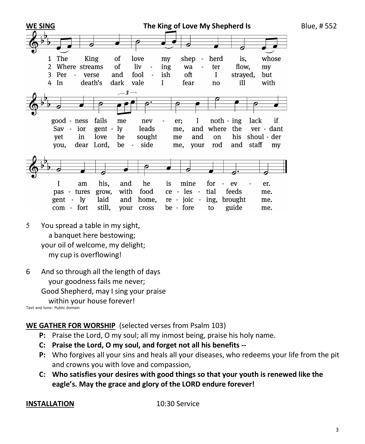

- 5 You spread a table in my sight, a banquet here bestowing; your oil of welcome, my delight; my cup is overflowing!
- 6 And so through all the length of days your goodness fails me never; Good Shepherd, may I sing your praise within your house forever!

Text and tune: Public domain

#### **WE GATHER FOR WORSHIP** (selected verses from Psalm 103)

- **P:** Praise the Lord, O my soul; all my inmost being, praise his holy name.
- **C: Praise the Lord, O my soul, and forget not all his benefits --**
- **P:** Who forgives all your sins and heals all your diseases, who redeems your life from the pit and crowns you with love and compassion,
- **C: Who satisfies your desires with good things so that your youth is renewed like the eagle's. May the grace and glory of the LORD endure forever!**

#### **INSTALLATION** 10:30 Service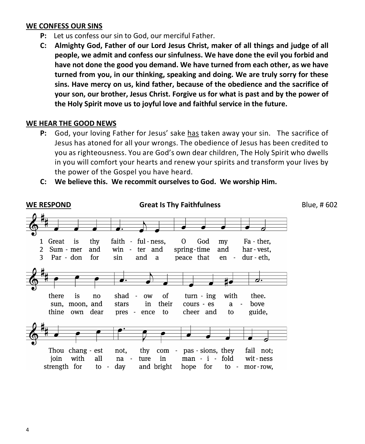#### **WE CONFESS OUR SINS**

- **P:** Let us confess our sin to God, our merciful Father.
- **C: Almighty God, Father of our Lord Jesus Christ, maker of all things and judge of all people, we admit and confess our sinfulness. We have done the evil you forbid and have not done the good you demand. We have turned from each other, as we have turned from you, in our thinking, speaking and doing. We are truly sorry for these sins. Have mercy on us, kind father, because of the obedience and the sacrifice of your son, our brother, Jesus Christ. Forgive us for what is past and by the power of the Holy Spirit move us to joyful love and faithful service in the future.**

#### **WE HEAR THE GOOD NEWS**

- **P:** God, your loving Father for Jesus' sake has taken away your sin. The sacrifice of Jesus has atoned for all your wrongs. The obedience of Jesus has been credited to you as righteousness. You are God's own dear children, The Holy Spirit who dwells in you will comfort your hearts and renew your spirits and transform your lives by the power of the Gospel you have heard.
- **C: We believe this. We recommit ourselves to God. We worship Him.**

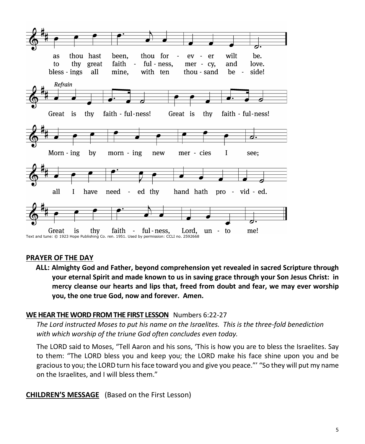

#### **PRAYER OF THE DAY**

**ALL: Almighty God and Father, beyond comprehension yet revealed in sacred Scripture through your eternal Spirit and made known to us in saving grace through your Son Jesus Christ: in mercy cleanse our hearts and lips that, freed from doubt and fear, we may ever worship you, the one true God, now and forever. Amen.** 

#### **WE HEAR THE WORD FROM THE FIRST LESSON** Numbers 6:22-27

*The Lord instructed Moses to put his name on the Israelites. This is the three-fold benediction with which worship of the triune God often concludes even today.* 

The LORD said to Moses, "Tell Aaron and his sons, 'This is how you are to bless the Israelites. Say to them: "The LORD bless you and keep you; the LORD make his face shine upon you and be gracious to you; the LORD turn his face toward you and give you peace."' "So they will put my name on the Israelites, and I will bless them."

**CHILDREN'S MESSAGE** (Based on the First Lesson)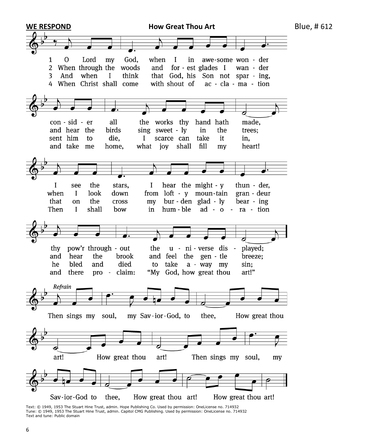

Text: © 1949, 1953 The Stuart Hine Trust, admin. Hope Publishing Co. Used by permission: OneLicense no. 714932 Tune: © 1949, 1953 The Stuart Hine Trust, admin. Capitol CMG Publishing. Used by permission: OneLicense no. 714932 Text and tune: Public domain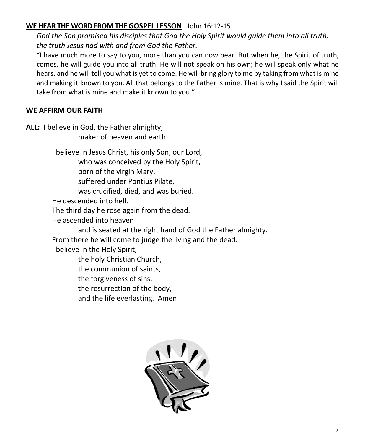#### **WE HEAR THE WORD FROM THE GOSPEL LESSON** John 16:12-15

*God the Son promised his disciples that God the Holy Spirit would guide them into all truth, the truth Jesus had with and from God the Father.* 

"I have much more to say to you, more than you can now bear. But when he, the Spirit of truth, comes, he will guide you into all truth. He will not speak on his own; he will speak only what he hears, and he will tell you what is yet to come. He will bring glory to me by taking from what is mine and making it known to you. All that belongs to the Father is mine. That is why I said the Spirit will take from what is mine and make it known to you."

#### **WE AFFIRM OUR FAITH**

**ALL:** I believe in God, the Father almighty, maker of heaven and earth.

I believe in Jesus Christ, his only Son, our Lord,

who was conceived by the Holy Spirit,

born of the virgin Mary,

suffered under Pontius Pilate,

was crucified, died, and was buried.

He descended into hell.

The third day he rose again from the dead.

He ascended into heaven

and is seated at the right hand of God the Father almighty.

From there he will come to judge the living and the dead.

I believe in the Holy Spirit,

the holy Christian Church, the communion of saints, the forgiveness of sins, the resurrection of the body, and the life everlasting. Amen

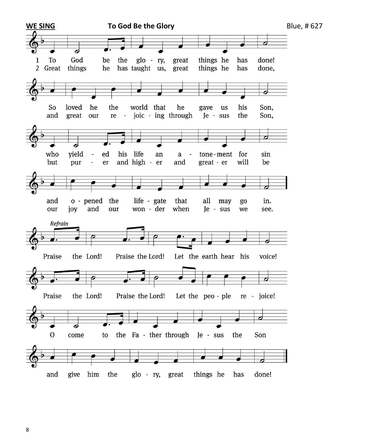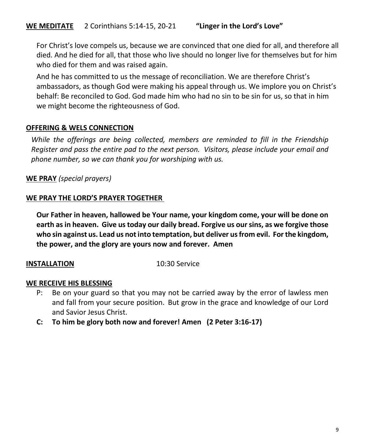For Christ's love compels us, because we are convinced that one died for all, and therefore all died. And he died for all, that those who live should no longer live for themselves but for him who died for them and was raised again.

And he has committed to us the message of reconciliation. We are therefore Christ's ambassadors, as though God were making his appeal through us. We implore you on Christ's behalf: Be reconciled to God. God made him who had no sin to be sin for us, so that in him we might become the righteousness of God.

#### **OFFERING & WELS CONNECTION**

*While the offerings are being collected, members are reminded to fill in the Friendship Register and pass the entire pad to the next person. Visitors, please include your email and phone number, so we can thank you for worshiping with us.*

**WE PRAY** *(special prayers)*

#### **WE PRAY THE LORD'S PRAYER TOGETHER**

**Our Father in heaven, hallowed be Your name, your kingdom come, your will be done on earth as in heaven. Give us today our daily bread. Forgive us our sins, as we forgive those who sin against us. Lead us not into temptation, but deliver us from evil. For the kingdom, the power, and the glory are yours now and forever. Amen**

#### **INSTALLATION** 10:30 Service

#### **WE RECEIVE HIS BLESSING**

- P: Be on your guard so that you may not be carried away by the error of lawless men and fall from your secure position. But grow in the grace and knowledge of our Lord and Savior Jesus Christ.
- **C: To him be glory both now and forever! Amen (2 Peter 3:16-17)**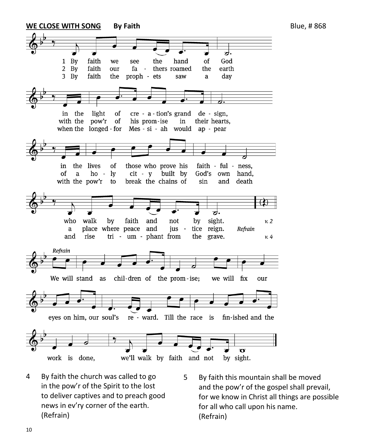**WE CLOSE WITH SONG By Faith**  Blue, # 868 ಕ. 1 By faith we see the hand of God 2  $By$ faith fa thers roamed the earth our  $\sim$  $3$  By faith the proph - ets day saw  $\mathbf a$ in the light of  $cre - a - tion's grand$ de - sign, pow'r with the of his prom-ise in their hearts. when the longed - for Mes - si - ah would ap - pear in the lives of those who prove his faith - ful - ness, of a ho - $\mathbf{v}$ cit - y built by God's own hand, with the pow'r break the chains of sin and death to who walk by faith and not by sight. v. 2 place where peace and jus tice reign. a  $\sim$ Refrain and rise tri - um - phant from the grave. v. 4 Refrain chil-dren of the prom-ise; We will stand as we will fix our eyes on him, our soul's re - ward. Till the race is fin-ished and the  $\overline{\mathbf{o}}$ work is done, we'll walk by faith and not by sight.

- 4 By faith the church was called to go in the pow'r of the Spirit to the lost to deliver captives and to preach good news in ev'ry corner of the earth. (Refrain)
- 5 By faith this mountain shall be moved and the pow'r of the gospel shall prevail, for we know in Christ all things are possible for all who call upon his name. (Refrain)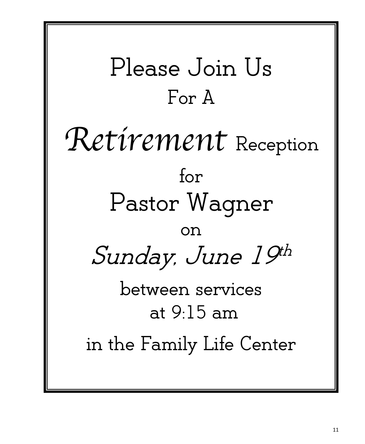Please Join Us For A Retirement Reception for Pastor Wagner on Sunday, June 19th between services at 9:15 am in the Family Life Center